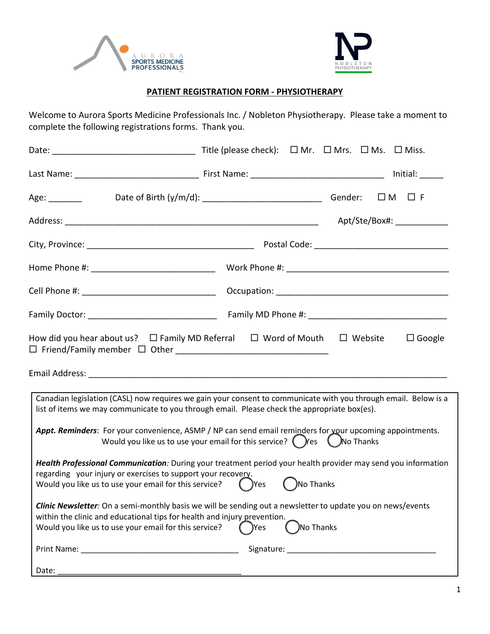



#### **PATIENT REGISTRATION FORM - PHYSIOTHERAPY**

Welcome to Aurora Sports Medicine Professionals Inc. / Nobleton Physiotherapy. Please take a moment to complete the following registrations forms. Thank you.

| Age:                                                                                                                                                                                                                                                                                                                                                                     |                                                                                                           | $\square$ M $\square$ F    |
|--------------------------------------------------------------------------------------------------------------------------------------------------------------------------------------------------------------------------------------------------------------------------------------------------------------------------------------------------------------------------|-----------------------------------------------------------------------------------------------------------|----------------------------|
|                                                                                                                                                                                                                                                                                                                                                                          |                                                                                                           | Apt/Ste/Box#: ____________ |
|                                                                                                                                                                                                                                                                                                                                                                          |                                                                                                           |                            |
|                                                                                                                                                                                                                                                                                                                                                                          |                                                                                                           |                            |
|                                                                                                                                                                                                                                                                                                                                                                          |                                                                                                           |                            |
|                                                                                                                                                                                                                                                                                                                                                                          |                                                                                                           |                            |
| Canadian legislation (CASL) now requires we gain your consent to communicate with you through email. Below is a<br>list of items we may communicate to you through email. Please check the appropriate box(es).                                                                                                                                                          |                                                                                                           |                            |
| Appt. Reminders: For your convenience, ASMP / NP can send email reminders for your upcoming appointments.<br>Health Professional Communication: During your treatment period your health provider may send you information<br>regarding your injury or exercises to support your recovery.<br>Would you like us to use your email for this service? $\left( \right)$ Yes | Would you like us to use your email for this service? $\bigcirc$ Yes $\bigcirc$ No Thanks<br>( )No Thanks |                            |
| Clinic Newsletter: On a semi-monthly basis we will be sending out a newsletter to update you on news/events<br>within the clinic and educational tips for health and injury prevention.<br>Would you like us to use your email for this service?                                                                                                                         | No Thanks<br>)Yes                                                                                         |                            |
|                                                                                                                                                                                                                                                                                                                                                                          |                                                                                                           |                            |
| Date:                                                                                                                                                                                                                                                                                                                                                                    |                                                                                                           |                            |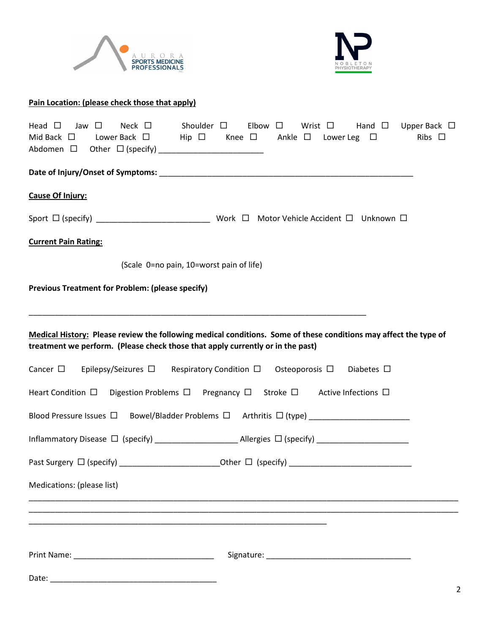



# **Pain Location: (please check those that apply)** Head  $\Box$  Jaw  $\Box$  Neck  $\Box$  Shoulder  $\Box$  Elbow  $\Box$  Wrist  $\Box$  Hand  $\Box$  Upper Back  $\Box$ Mid Back  $\Box$  Lower Back  $\Box$  Hip  $\Box$  Knee  $\Box$  Ankle  $\Box$  Lower Leg  $\Box$  Ribs  $\Box$ Abdomen Other (specify) \_\_\_\_\_\_\_\_\_\_\_\_\_\_\_\_\_\_\_\_\_\_\_\_ Date of Injury/Onset of Symptoms: **Date of Symptoms** and the symptom of  $\overline{\phantom{a}}$ **Cause Of Injury:** Sport (specify) \_\_\_\_\_\_\_\_\_\_\_\_\_\_\_\_\_\_\_\_\_\_\_\_\_\_ Work Motor Vehicle Accident Unknown **Current Pain Rating:**  (Scale 0=no pain, 10=worst pain of life) **Previous Treatment for Problem: (please specify)** \_\_\_\_\_\_\_\_\_\_\_\_\_\_\_\_\_\_\_\_\_\_\_\_\_\_\_\_\_\_\_\_\_\_\_\_\_\_\_\_\_\_\_\_\_\_\_\_\_\_\_\_\_\_\_\_\_\_\_\_\_\_\_\_\_\_\_\_\_\_\_\_\_\_\_\_\_ **Medical History: Please review the following medical conditions. Some of these conditions may affect the type of treatment we perform. (Please check those that apply currently or in the past)** Cancer  $\Box$  Epilepsy/Seizures  $\Box$  Respiratory Condition  $\Box$  Osteoporosis  $\Box$  Diabetes  $\Box$ Heart Condition  $\Box$  Digestion Problems  $\Box$  Pregnancy  $\Box$  Stroke  $\Box$  Active Infections  $\Box$ Blood Pressure Issues  $\square$  Bowel/Bladder Problems  $\square$  Arthritis  $\square$  (type) Inflammatory Disease (specify) \_\_\_\_\_\_\_\_\_\_\_\_\_\_\_\_\_\_\_ Allergies (specify) \_\_\_\_\_\_\_\_\_\_\_\_\_\_\_\_\_\_\_\_\_ Past Surgery (specify) \_\_\_\_\_\_\_\_\_\_\_\_\_\_\_\_\_\_\_\_\_\_\_Other (specify) \_\_\_\_\_\_\_\_\_\_\_\_\_\_\_\_\_\_\_\_\_\_\_\_\_\_\_\_ Medications: (please list) \_\_\_\_\_\_\_\_\_\_\_\_\_\_\_\_\_\_\_\_\_\_\_\_\_\_\_\_\_\_\_\_\_\_\_\_\_\_\_\_\_\_\_\_\_\_\_\_\_\_\_\_\_\_\_\_\_\_\_\_\_\_\_\_\_\_\_\_\_\_\_\_\_\_\_\_\_\_\_\_\_\_\_\_\_\_\_\_\_\_\_\_\_\_\_\_\_\_ \_\_\_\_\_\_\_\_\_\_\_\_\_\_\_\_\_\_\_\_\_\_\_\_\_\_\_\_\_\_\_\_\_\_\_\_\_\_\_\_\_\_\_\_\_\_\_\_\_\_\_\_\_\_\_\_\_\_\_\_\_\_\_\_\_\_\_\_\_\_\_\_\_\_\_\_\_\_\_\_\_\_\_\_\_\_\_\_\_\_\_\_\_\_\_\_\_\_ \_\_\_\_\_\_\_\_\_\_\_\_\_\_\_\_\_\_\_\_\_\_\_\_\_\_\_\_\_\_\_\_\_\_\_\_\_\_\_\_\_\_\_\_\_\_\_\_\_\_\_\_\_\_\_\_\_\_\_\_\_\_\_\_\_\_\_\_

| Print Name: | Signature: |
|-------------|------------|
| Date:       |            |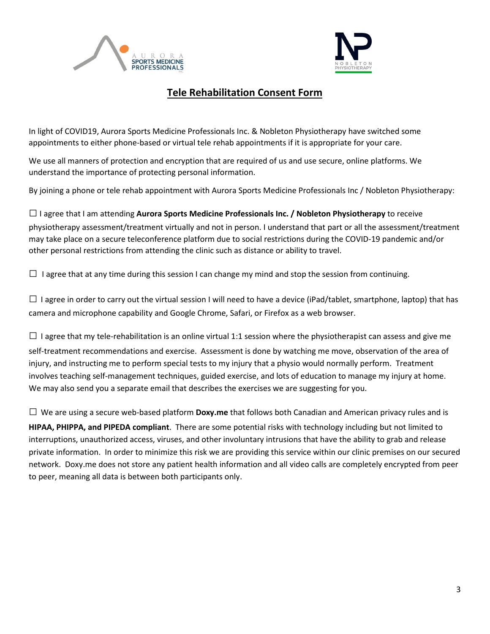



### **Tele Rehabilitation Consent Form**

In light of COVID19, Aurora Sports Medicine Professionals Inc. & Nobleton Physiotherapy have switched some appointments to either phone-based or virtual tele rehab appointments if it is appropriate for your care.

We use all manners of protection and encryption that are required of us and use secure, online platforms. We understand the importance of protecting personal information.

By joining a phone or tele rehab appointment with Aurora Sports Medicine Professionals Inc / Nobleton Physiotherapy:

□I agree that I am attending **Aurora Sports Medicine Professionals Inc. / Nobleton Physiotherapy** to receive physiotherapy assessment/treatment virtually and not in person. I understand that part or all the assessment/treatment may take place on a secure teleconference platform due to social restrictions during the COVID-19 pandemic and/or other personal restrictions from attending the clinic such as distance or ability to travel.

 $\Box$  I agree that at any time during this session I can change my mind and stop the session from continuing.

 $\square$  I agree in order to carry out the virtual session I will need to have a device (iPad/tablet, smartphone, laptop) that has camera and microphone capability and Google Chrome, Safari, or Firefox as a web browser.

 $\square$  I agree that my tele-rehabilitation is an online virtual 1:1 session where the physiotherapist can assess and give me self-treatment recommendations and exercise. Assessment is done by watching me move, observation of the area of injury, and instructing me to perform special tests to my injury that a physio would normally perform. Treatment involves teaching self-management techniques, guided exercise, and lots of education to manage my injury at home. We may also send you a separate email that describes the exercises we are suggesting for you.

□ We are using a secure web-based platform **Doxy.me** that follows both Canadian and American privacy rules and is **HIPAA, PHIPPA, and PIPEDA compliant**. There are some potential risks with technology including but not limited to interruptions, unauthorized access, viruses, and other involuntary intrusions that have the ability to grab and release private information. In order to minimize this risk we are providing this service within our clinic premises on our secured network. Doxy.me does not store any patient health information and all video calls are completely encrypted from peer to peer, meaning all data is between both participants only.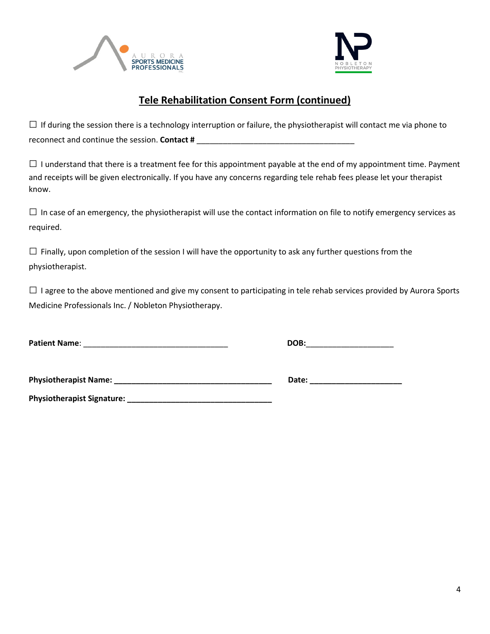



## **Tele Rehabilitation Consent Form (continued)**

 $\Box$  If during the session there is a technology interruption or failure, the physiotherapist will contact me via phone to reconnect and continue the session. **Contact #** \_\_\_\_\_\_\_\_\_\_\_\_\_\_\_\_\_\_\_\_\_\_\_\_\_\_\_\_\_\_\_\_\_\_\_\_

 $\square$  I understand that there is a treatment fee for this appointment payable at the end of my appointment time. Payment and receipts will be given electronically. If you have any concerns regarding tele rehab fees please let your therapist know.

 $\square$  In case of an emergency, the physiotherapist will use the contact information on file to notify emergency services as required.

 $\square$  Finally, upon completion of the session I will have the opportunity to ask any further questions from the physiotherapist.

 $\square$  I agree to the above mentioned and give my consent to participating in tele rehab services provided by Aurora Sports Medicine Professionals Inc. / Nobleton Physiotherapy.

**Patient Name**: \_\_\_\_\_\_\_\_\_\_\_\_\_\_\_\_\_\_\_\_\_\_\_\_\_\_\_\_\_\_\_\_\_ **DOB:**\_\_\_\_\_\_\_\_\_\_\_\_\_\_\_\_\_\_\_\_

**Physiotherapist Name: \_\_\_\_\_\_\_\_\_\_\_\_\_\_\_\_\_\_\_\_\_\_\_\_\_\_\_\_\_\_\_\_\_\_\_\_ Date: \_\_\_\_\_\_\_\_\_\_\_\_\_\_\_\_\_\_\_\_\_**

**Physiotherapist Signature: \_\_\_\_\_\_\_\_\_\_\_\_\_\_\_\_\_\_\_\_\_\_\_\_\_\_\_\_\_\_\_\_\_**